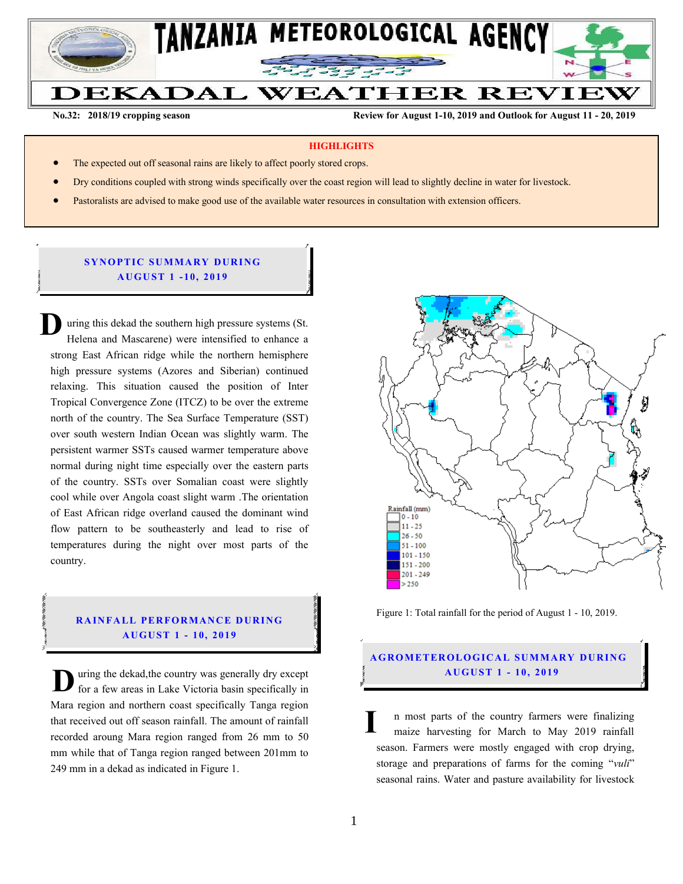

**No.32: 2018/19 cropping season Review for August 1-10, 2019 and Outlook for August 11 - 20, 2019** 

#### **HIGHLIGHTS**

- The expected out off seasonal rains are likely to affect poorly stored crops.
- Dry conditions coupled with strong winds specifically over the coast region will lead to slightly decline in water for livestock.
- Pastoralists are advised to make good use of the available water resources in consultation with extension officers.

## **SYNOPTIC SUMMARY DURING A U GU ST 1 - 10, 201 9**

uring this dekad the southern high pressure systems (St. Helena and Mascarene) were intensified to enhance a strong East African ridge while the northern hemisphere high pressure systems (Azores and Siberian) continued relaxing. This situation caused the position of Inter Tropical Convergence Zone (ITCZ) to be over the extreme north of the country. The Sea Surface Temperature (SST) over south western Indian Ocean was slightly warm. The persistent warmer SSTs caused warmer temperature above normal during night time especially over the eastern parts of the country. SSTs over Somalian coast were slightly cool while over Angola coast slight warm .The orientation of East African ridge overland caused the dominant wind flow pattern to be southeasterly and lead to rise of temperatures during the night over most parts of the country. **D**

# **RAINFALL PERFORMANCE DURING A U GU ST 1 - 10, 201 9**

uring the dekad,the country was generally dry except for a few areas in Lake Victoria basin specifically in Mara region and northern coast specifically Tanga region that received out off season rainfall. The amount of rainfall recorded aroung Mara region ranged from 26 mm to 50 mm while that of Tanga region ranged between 201mm to 249 mm in a dekad as indicated in Figure 1. **D**



Figure 1: Total rainfall for the period of August 1 - 10, 2019.

## **A G RO METER O LO G IC AL SU MMAR Y DU R IN G A U GU ST 1 - 10, 2019**

n most parts of the country farmers were finalizing maize harvesting for March to May 2019 rainfall season. Farmers were mostly engaged with crop drying, storage and preparations of farms for the coming "*vuli*" seasonal rains. Water and pasture availability for livestock **I**